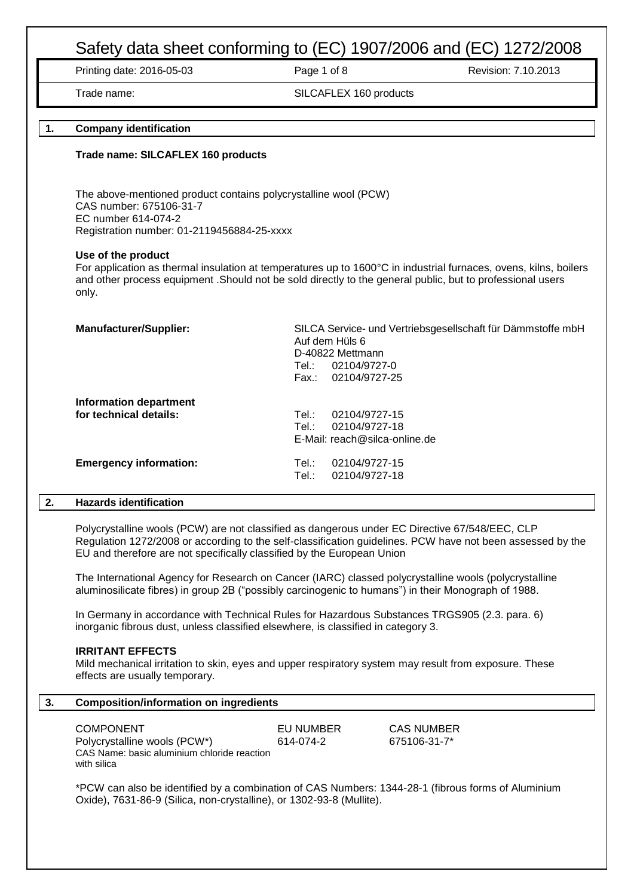Printing date: 2016-05-03 **Page 1 of 8** Revision: 7.10.2013

Trade name: SILCAFLEX 160 products

# **1. Company identification**

#### **Trade name: SILCAFLEX 160 products**

The above-mentioned product contains polycrystalline wool (PCW) CAS number: 675106-31-7 EC number 614-074-2 Registration number: 01-2119456884-25-xxxx

#### **Use of the product**

For application as thermal insulation at temperatures up to 1600°C in industrial furnaces, ovens, kilns, boilers and other process equipment .Should not be sold directly to the general public, but to professional users only.

| <b>Manufacturer/Supplier:</b> | SILCA Service- und Vertriebsgesellschaft für Dämmstoffe mbH<br>Auf dem Hüls 6<br>D-40822 Mettmann<br>02104/9727-0<br>Tel∴<br>02104/9727-25<br>Fax.: |
|-------------------------------|-----------------------------------------------------------------------------------------------------------------------------------------------------|
| <b>Information department</b> |                                                                                                                                                     |
| for technical details:        | 02104/9727-15<br>Tel∴                                                                                                                               |
|                               | 02104/9727-18<br>Tel∴                                                                                                                               |
|                               | E-Mail: reach@silca-online.de                                                                                                                       |
| <b>Emergency information:</b> | 02104/9727-15<br>Tel∴                                                                                                                               |
|                               | Tel.∶<br>02104/9727-18                                                                                                                              |
|                               |                                                                                                                                                     |

# **2. Hazards identification**

Polycrystalline wools (PCW) are not classified as dangerous under EC Directive 67/548/EEC, CLP Regulation 1272/2008 or according to the self-classification guidelines. PCW have not been assessed by the EU and therefore are not specifically classified by the European Union

The International Agency for Research on Cancer (IARC) classed polycrystalline wools (polycrystalline aluminosilicate fibres) in group 2B ("possibly carcinogenic to humans") in their Monograph of 1988.

In Germany in accordance with Technical Rules for Hazardous Substances TRGS905 (2.3. para. 6) inorganic fibrous dust, unless classified elsewhere, is classified in category 3.

#### **IRRITANT EFFECTS**

Mild mechanical irritation to skin, eyes and upper respiratory system may result from exposure. These effects are usually temporary.

| З. | <b>Composition/information on ingredients</b>                                                                                                                              |           |                   |  |
|----|----------------------------------------------------------------------------------------------------------------------------------------------------------------------------|-----------|-------------------|--|
|    | <b>COMPONENT</b>                                                                                                                                                           | EU NUMBER | <b>CAS NUMBER</b> |  |
|    | Polycrystalline wools (PCW*)<br>CAS Name: basic aluminium chloride reaction<br>with silica                                                                                 | 614-074-2 | 675106-31-7*      |  |
|    | *PCW can also be identified by a combination of CAS Numbers: 1344-28-1 (fibrous forms of Aluminium<br>Oxide), 7631-86-9 (Silica, non-crystalline), or 1302-93-8 (Mullite). |           |                   |  |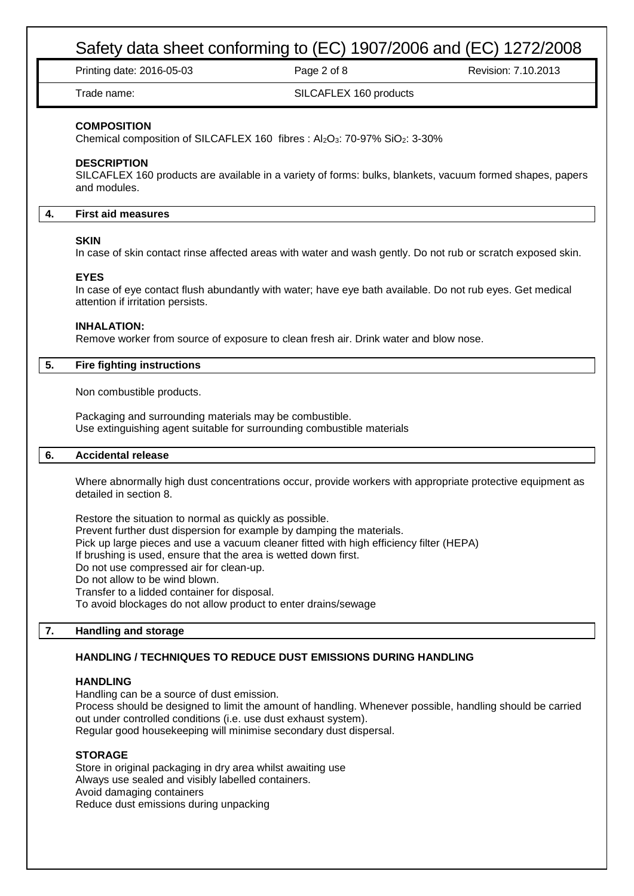|    | Safety data sheet conforming to (EC) 1907/2006 and (EC) 1272/2008                                                                                                                                                                                       |                                                                                                                                                                                |                     |  |
|----|---------------------------------------------------------------------------------------------------------------------------------------------------------------------------------------------------------------------------------------------------------|--------------------------------------------------------------------------------------------------------------------------------------------------------------------------------|---------------------|--|
|    | Printing date: 2016-05-03                                                                                                                                                                                                                               | Page 2 of 8                                                                                                                                                                    | Revision: 7.10.2013 |  |
|    | Trade name:                                                                                                                                                                                                                                             | SILCAFLEX 160 products                                                                                                                                                         |                     |  |
|    | <b>COMPOSITION</b><br><b>DESCRIPTION</b>                                                                                                                                                                                                                | Chemical composition of SILCAFLEX 160 fibres : Al2O3: 70-97% SiO2: 3-30%                                                                                                       |                     |  |
|    | and modules.                                                                                                                                                                                                                                            | SILCAFLEX 160 products are available in a variety of forms: bulks, blankets, vacuum formed shapes, papers                                                                      |                     |  |
| 4. | <b>First aid measures</b>                                                                                                                                                                                                                               |                                                                                                                                                                                |                     |  |
|    | <b>SKIN</b>                                                                                                                                                                                                                                             | In case of skin contact rinse affected areas with water and wash gently. Do not rub or scratch exposed skin.                                                                   |                     |  |
|    | <b>EYES</b><br>attention if irritation persists.                                                                                                                                                                                                        | In case of eye contact flush abundantly with water; have eye bath available. Do not rub eyes. Get medical                                                                      |                     |  |
|    | <b>INHALATION:</b>                                                                                                                                                                                                                                      | Remove worker from source of exposure to clean fresh air. Drink water and blow nose.                                                                                           |                     |  |
| 5. | <b>Fire fighting instructions</b>                                                                                                                                                                                                                       |                                                                                                                                                                                |                     |  |
|    | Non combustible products.                                                                                                                                                                                                                               |                                                                                                                                                                                |                     |  |
|    | Packaging and surrounding materials may be combustible.                                                                                                                                                                                                 | Use extinguishing agent suitable for surrounding combustible materials                                                                                                         |                     |  |
| 6. | <b>Accidental release</b>                                                                                                                                                                                                                               |                                                                                                                                                                                |                     |  |
|    | detailed in section 8.                                                                                                                                                                                                                                  | Where abnormally high dust concentrations occur, provide workers with appropriate protective equipment as                                                                      |                     |  |
|    | Restore the situation to normal as quickly as possible.<br>If brushing is used, ensure that the area is wetted down first.<br>Do not use compressed air for clean-up.<br>Do not allow to be wind blown.<br>Transfer to a lidded container for disposal. | Prevent further dust dispersion for example by damping the materials.<br>Pick up large pieces and use a vacuum cleaner fitted with high efficiency filter (HEPA)               |                     |  |
|    | To avoid blockages do not allow product to enter drains/sewage                                                                                                                                                                                          |                                                                                                                                                                                |                     |  |
| 7. | <b>Handling and storage</b>                                                                                                                                                                                                                             |                                                                                                                                                                                |                     |  |
|    |                                                                                                                                                                                                                                                         | HANDLING / TECHNIQUES TO REDUCE DUST EMISSIONS DURING HANDLING                                                                                                                 |                     |  |
|    | <b>HANDLING</b><br>Handling can be a source of dust emission.<br>out under controlled conditions (i.e. use dust exhaust system).                                                                                                                        | Process should be designed to limit the amount of handling. Whenever possible, handling should be carried<br>Regular good housekeeping will minimise secondary dust dispersal. |                     |  |
|    | <b>STORAGE</b><br>Store in original packaging in dry area whilst awaiting use<br>Always use sealed and visibly labelled containers.<br>Avoid damaging containers<br>Reduce dust emissions during unpacking                                              |                                                                                                                                                                                |                     |  |
|    |                                                                                                                                                                                                                                                         |                                                                                                                                                                                |                     |  |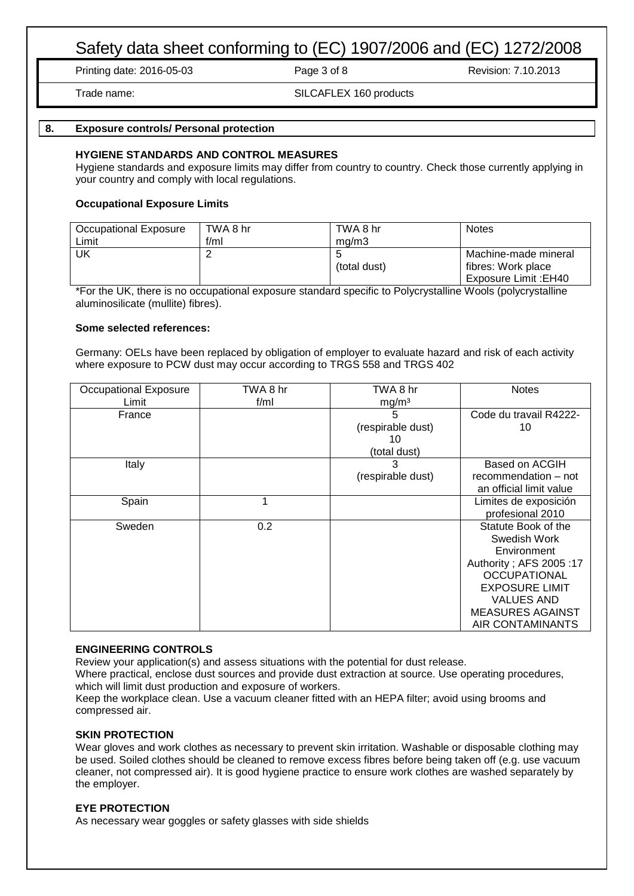Printing date: 2016-05-03 Page 3 of 8 Revision: 7.10.2013

Trade name: SILCAFLEX 160 products

# **8. Exposure controls/ Personal protection**

### **HYGIENE STANDARDS AND CONTROL MEASURES**

Hygiene standards and exposure limits may differ from country to country. Check those currently applying in your country and comply with local regulations.

# **Occupational Exposure Limits**

| Occupational Exposure | TWA 8 hr | TWA 8 hr     | <b>Notes</b>          |
|-----------------------|----------|--------------|-----------------------|
| Limit                 | f/ml     | ma/m3        |                       |
| UK                    |          |              | Machine-made mineral  |
|                       |          | (total dust) | fibres: Work place    |
|                       |          |              | Exposure Limit : EH40 |

\*For the UK, there is no occupational exposure standard specific to Polycrystalline Wools (polycrystalline aluminosilicate (mullite) fibres).

#### **Some selected references:**

Germany: OELs have been replaced by obligation of employer to evaluate hazard and risk of each activity where exposure to PCW dust may occur according to TRGS 558 and TRGS 402

| Occupational Exposure | TWA 8 hr | TWA 8 hr          | <b>Notes</b>             |
|-----------------------|----------|-------------------|--------------------------|
| Limit                 | f/ml     | mg/m <sup>3</sup> |                          |
| France                |          | 5                 | Code du travail R4222-   |
|                       |          | (respirable dust) | 10                       |
|                       |          | 10                |                          |
|                       |          | (total dust)      |                          |
| Italy                 |          | 3                 | Based on ACGIH           |
|                       |          | (respirable dust) | recommendation – not     |
|                       |          |                   | an official limit value  |
| Spain                 | 1        |                   | Limites de exposición    |
|                       |          |                   | profesional 2010         |
| Sweden                | 0.2      |                   | Statute Book of the      |
|                       |          |                   | Swedish Work             |
|                       |          |                   | Environment              |
|                       |          |                   | Authority ; AFS 2005 :17 |
|                       |          |                   | <b>OCCUPATIONAL</b>      |
|                       |          |                   | <b>EXPOSURE LIMIT</b>    |
|                       |          |                   | <b>VALUES AND</b>        |
|                       |          |                   | <b>MEASURES AGAINST</b>  |
|                       |          |                   | AIR CONTAMINANTS         |

# **ENGINEERING CONTROLS**

Review your application(s) and assess situations with the potential for dust release.

Where practical, enclose dust sources and provide dust extraction at source. Use operating procedures, which will limit dust production and exposure of workers.

Keep the workplace clean. Use a vacuum cleaner fitted with an HEPA filter; avoid using brooms and compressed air.

#### **SKIN PROTECTION**

Wear gloves and work clothes as necessary to prevent skin irritation. Washable or disposable clothing may be used. Soiled clothes should be cleaned to remove excess fibres before being taken off (e.g. use vacuum cleaner, not compressed air). It is good hygiene practice to ensure work clothes are washed separately by the employer.

#### **EYE PROTECTION**

As necessary wear goggles or safety glasses with side shields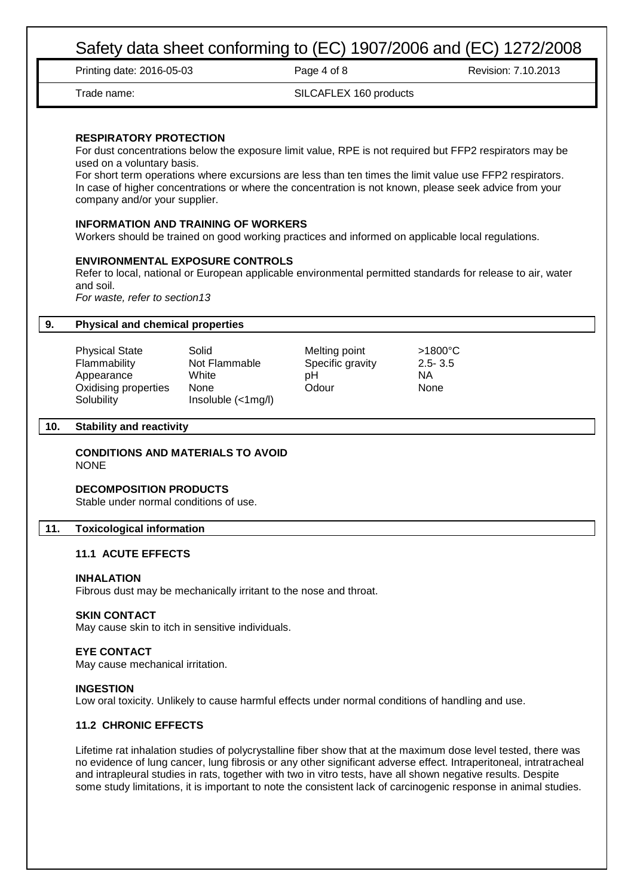|     | Printing date: 2016-05-03                                                                                                                                                                                                                                                                                                                                                                                                                                              |                                                               | Page 4 of 8                                      | Revision: 7.10.2013                                                                                                                                                                                                                                                                                                           |  |
|-----|------------------------------------------------------------------------------------------------------------------------------------------------------------------------------------------------------------------------------------------------------------------------------------------------------------------------------------------------------------------------------------------------------------------------------------------------------------------------|---------------------------------------------------------------|--------------------------------------------------|-------------------------------------------------------------------------------------------------------------------------------------------------------------------------------------------------------------------------------------------------------------------------------------------------------------------------------|--|
|     | Trade name:                                                                                                                                                                                                                                                                                                                                                                                                                                                            |                                                               | SILCAFLEX 160 products                           |                                                                                                                                                                                                                                                                                                                               |  |
|     | <b>RESPIRATORY PROTECTION</b><br>used on a voluntary basis.<br>company and/or your supplier.                                                                                                                                                                                                                                                                                                                                                                           |                                                               |                                                  | For dust concentrations below the exposure limit value, RPE is not required but FFP2 respirators may be<br>For short term operations where excursions are less than ten times the limit value use FFP2 respirators.<br>In case of higher concentrations or where the concentration is not known, please seek advice from your |  |
|     | <b>INFORMATION AND TRAINING OF WORKERS</b>                                                                                                                                                                                                                                                                                                                                                                                                                             |                                                               |                                                  | Workers should be trained on good working practices and informed on applicable local regulations.                                                                                                                                                                                                                             |  |
|     | <b>ENVIRONMENTAL EXPOSURE CONTROLS</b><br>and soil.<br>For waste, refer to section13                                                                                                                                                                                                                                                                                                                                                                                   |                                                               |                                                  | Refer to local, national or European applicable environmental permitted standards for release to air, water                                                                                                                                                                                                                   |  |
| 9.  | <b>Physical and chemical properties</b>                                                                                                                                                                                                                                                                                                                                                                                                                                |                                                               |                                                  |                                                                                                                                                                                                                                                                                                                               |  |
|     | <b>Physical State</b><br>Flammability<br>Appearance<br>Oxidising properties<br>Solubility                                                                                                                                                                                                                                                                                                                                                                              | Solid<br>Not Flammable<br>White<br>None<br>Insoluble (<1mg/l) | Melting point<br>Specific gravity<br>pH<br>Odour | $>1800^{\circ}$ C<br>$2.5 - 3.5$<br><b>NA</b><br>None                                                                                                                                                                                                                                                                         |  |
| 10. | <b>Stability and reactivity</b>                                                                                                                                                                                                                                                                                                                                                                                                                                        |                                                               |                                                  |                                                                                                                                                                                                                                                                                                                               |  |
|     | <b>CONDITIONS AND MATERIALS TO AVOID</b><br><b>NONE</b>                                                                                                                                                                                                                                                                                                                                                                                                                |                                                               |                                                  |                                                                                                                                                                                                                                                                                                                               |  |
|     | <b>DECOMPOSITION PRODUCTS</b><br>Stable under normal conditions of use.                                                                                                                                                                                                                                                                                                                                                                                                |                                                               |                                                  |                                                                                                                                                                                                                                                                                                                               |  |
| 11. | <b>Toxicological information</b>                                                                                                                                                                                                                                                                                                                                                                                                                                       |                                                               |                                                  |                                                                                                                                                                                                                                                                                                                               |  |
|     | <b>11.1 ACUTE EFFECTS</b>                                                                                                                                                                                                                                                                                                                                                                                                                                              |                                                               |                                                  |                                                                                                                                                                                                                                                                                                                               |  |
|     | <b>INHALATION</b><br>Fibrous dust may be mechanically irritant to the nose and throat.                                                                                                                                                                                                                                                                                                                                                                                 |                                                               |                                                  |                                                                                                                                                                                                                                                                                                                               |  |
|     | <b>SKIN CONTACT</b><br>May cause skin to itch in sensitive individuals.                                                                                                                                                                                                                                                                                                                                                                                                |                                                               |                                                  |                                                                                                                                                                                                                                                                                                                               |  |
|     | <b>EYE CONTACT</b><br>May cause mechanical irritation.                                                                                                                                                                                                                                                                                                                                                                                                                 |                                                               |                                                  |                                                                                                                                                                                                                                                                                                                               |  |
|     | <b>INGESTION</b><br>Low oral toxicity. Unlikely to cause harmful effects under normal conditions of handling and use.                                                                                                                                                                                                                                                                                                                                                  |                                                               |                                                  |                                                                                                                                                                                                                                                                                                                               |  |
|     | <b>11.2 CHRONIC EFFECTS</b>                                                                                                                                                                                                                                                                                                                                                                                                                                            |                                                               |                                                  |                                                                                                                                                                                                                                                                                                                               |  |
|     | Lifetime rat inhalation studies of polycrystalline fiber show that at the maximum dose level tested, there was<br>no evidence of lung cancer, lung fibrosis or any other significant adverse effect. Intraperitoneal, intratracheal<br>and intrapleural studies in rats, together with two in vitro tests, have all shown negative results. Despite<br>some study limitations, it is important to note the consistent lack of carcinogenic response in animal studies. |                                                               |                                                  |                                                                                                                                                                                                                                                                                                                               |  |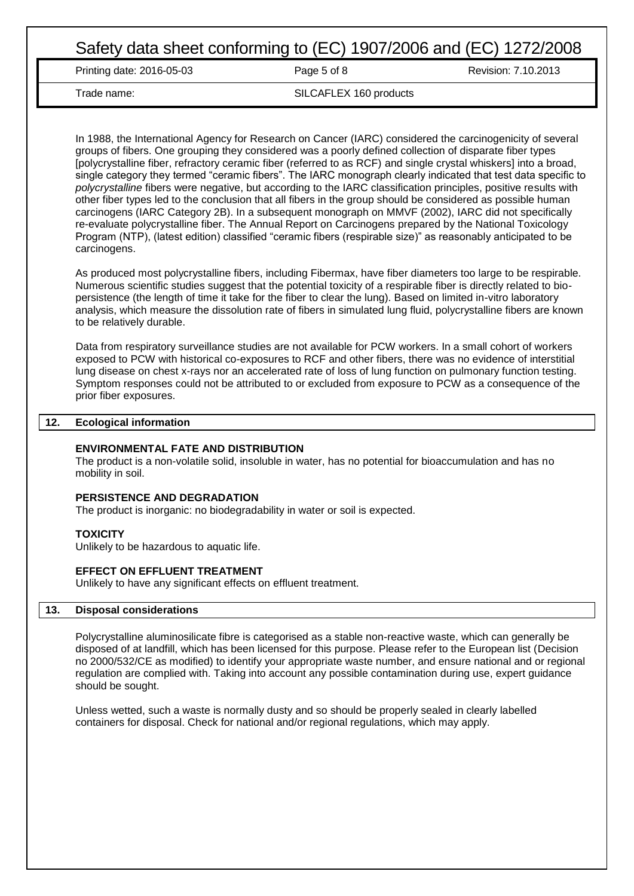Printing date: 2016-05-03 **Page 5 of 8** Revision: 7.10.2013

Trade name: SILCAFLEX 160 products

In 1988, the International Agency for Research on Cancer (IARC) considered the carcinogenicity of several groups of fibers. One grouping they considered was a poorly defined collection of disparate fiber types [polycrystalline fiber, refractory ceramic fiber (referred to as RCF) and single crystal whiskers] into a broad, single category they termed "ceramic fibers". The IARC monograph clearly indicated that test data specific to *polycrystalline* fibers were negative, but according to the IARC classification principles, positive results with other fiber types led to the conclusion that all fibers in the group should be considered as possible human carcinogens (IARC Category 2B). In a subsequent monograph on MMVF (2002), IARC did not specifically re-evaluate polycrystalline fiber. The Annual Report on Carcinogens prepared by the National Toxicology Program (NTP), (latest edition) classified "ceramic fibers (respirable size)" as reasonably anticipated to be carcinogens.

As produced most polycrystalline fibers, including Fibermax, have fiber diameters too large to be respirable. Numerous scientific studies suggest that the potential toxicity of a respirable fiber is directly related to biopersistence (the length of time it take for the fiber to clear the lung). Based on limited in-vitro laboratory analysis, which measure the dissolution rate of fibers in simulated lung fluid, polycrystalline fibers are known to be relatively durable.

Data from respiratory surveillance studies are not available for PCW workers. In a small cohort of workers exposed to PCW with historical co-exposures to RCF and other fibers, there was no evidence of interstitial lung disease on chest x-rays nor an accelerated rate of loss of lung function on pulmonary function testing. Symptom responses could not be attributed to or excluded from exposure to PCW as a consequence of the prior fiber exposures.

# **12. Ecological information**

### **ENVIRONMENTAL FATE AND DISTRIBUTION**

The product is a non-volatile solid, insoluble in water, has no potential for bioaccumulation and has no mobility in soil.

#### **PERSISTENCE AND DEGRADATION**

The product is inorganic: no biodegradability in water or soil is expected.

#### **TOXICITY**

Unlikely to be hazardous to aquatic life.

#### **EFFECT ON EFFLUENT TREATMENT**

Unlikely to have any significant effects on effluent treatment.

# **13. Disposal considerations**

Polycrystalline aluminosilicate fibre is categorised as a stable non-reactive waste, which can generally be disposed of at landfill, which has been licensed for this purpose. Please refer to the European list (Decision no 2000/532/CE as modified) to identify your appropriate waste number, and ensure national and or regional regulation are complied with. Taking into account any possible contamination during use, expert guidance should be sought.

Unless wetted, such a waste is normally dusty and so should be properly sealed in clearly labelled containers for disposal. Check for national and/or regional regulations, which may apply.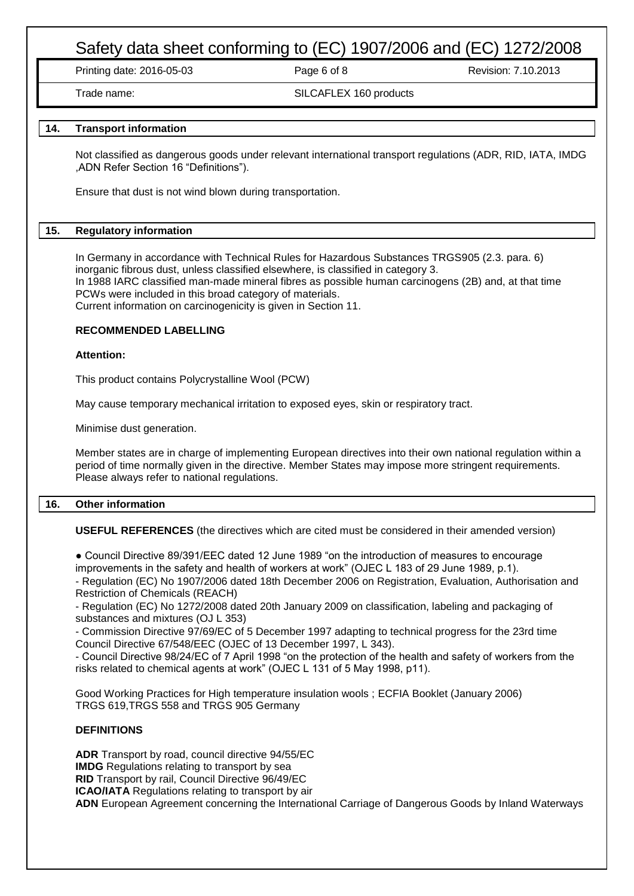Printing date: 2016-05-03 Page 6 of 8 Revision: 7.10.2013

Trade name: SILCAFLEX 160 products

# **14. Transport information**

Not classified as dangerous goods under relevant international transport regulations (ADR, RID, IATA, IMDG ,ADN Refer Section 16 "Definitions").

Ensure that dust is not wind blown during transportation.

# **15. Regulatory information**

In Germany in accordance with Technical Rules for Hazardous Substances TRGS905 (2.3. para. 6) inorganic fibrous dust, unless classified elsewhere, is classified in category 3. In 1988 IARC classified man-made mineral fibres as possible human carcinogens (2B) and, at that time PCWs were included in this broad category of materials. Current information on carcinogenicity is given in Section 11.

### **RECOMMENDED LABELLING**

#### **Attention:**

This product contains Polycrystalline Wool (PCW)

May cause temporary mechanical irritation to exposed eyes, skin or respiratory tract.

Minimise dust generation.

Member states are in charge of implementing European directives into their own national regulation within a period of time normally given in the directive. Member States may impose more stringent requirements. Please always refer to national regulations.

# **16. Other information**

**USEFUL REFERENCES** (the directives which are cited must be considered in their amended version)

● Council Directive 89/391/EEC dated 12 June 1989 "on the introduction of measures to encourage improvements in the safety and health of workers at work" (OJEC L 183 of 29 June 1989, p.1).

- Regulation (EC) No 1907/2006 dated 18th December 2006 on Registration, Evaluation, Authorisation and Restriction of Chemicals (REACH)

- Regulation (EC) No 1272/2008 dated 20th January 2009 on classification, labeling and packaging of substances and mixtures (OJ L 353)

- Commission Directive 97/69/EC of 5 December 1997 adapting to technical progress for the 23rd time Council Directive 67/548/EEC (OJEC of 13 December 1997, L 343).

- Council Directive 98/24/EC of 7 April 1998 "on the protection of the health and safety of workers from the risks related to chemical agents at work" (OJEC L 131 of 5 May 1998, p11).

Good Working Practices for High temperature insulation wools ; ECFIA Booklet (January 2006) TRGS 619,TRGS 558 and TRGS 905 Germany

### **DEFINITIONS**

**ADR** Transport by road, council directive 94/55/EC **IMDG** Regulations relating to transport by sea **RID** Transport by rail, Council Directive 96/49/EC **ICAO/IATA** Regulations relating to transport by air **ADN** European Agreement concerning the International Carriage of Dangerous Goods by Inland Waterways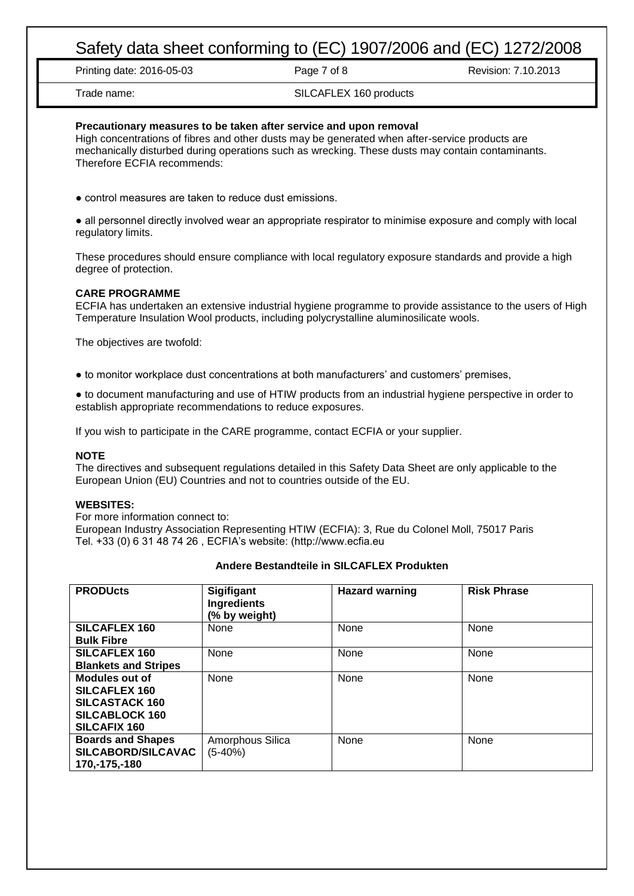Printing date: 2016-05-03 Page 7 of 8 Revision: 7.10.2013

# Trade name: SILCAFLEX 160 products

### **Precautionary measures to be taken after service and upon removal**

High concentrations of fibres and other dusts may be generated when after-service products are mechanically disturbed during operations such as wrecking. These dusts may contain contaminants. Therefore ECFIA recommends:

● control measures are taken to reduce dust emissions.

● all personnel directly involved wear an appropriate respirator to minimise exposure and comply with local regulatory limits.

These procedures should ensure compliance with local regulatory exposure standards and provide a high degree of protection.

### **CARE PROGRAMME**

ECFIA has undertaken an extensive industrial hygiene programme to provide assistance to the users of High Temperature Insulation Wool products, including polycrystalline aluminosilicate wools.

The objectives are twofold:

● to monitor workplace dust concentrations at both manufacturers' and customers' premises,

● to document manufacturing and use of HTIW products from an industrial hygiene perspective in order to establish appropriate recommendations to reduce exposures.

If you wish to participate in the CARE programme, contact ECFIA or your supplier.

#### **NOTE**

The directives and subsequent regulations detailed in this Safety Data Sheet are only applicable to the European Union (EU) Countries and not to countries outside of the EU.

#### **WEBSITES:**

For more information connect to:

European Industry Association Representing HTIW (ECFIA): 3, Rue du Colonel Moll, 75017 Paris Tel. +33 (0) 6 31 48 74 26 , ECFIA's website: (http://www.ecfia.eu

| <b>PRODUcts</b>             | <b>Sigifigant</b><br>Ingredients<br>(% by weight) | <b>Hazard warning</b> | <b>Risk Phrase</b> |
|-----------------------------|---------------------------------------------------|-----------------------|--------------------|
| <b>SILCAFLEX 160</b>        | None                                              | None                  | None               |
| <b>Bulk Fibre</b>           |                                                   |                       |                    |
| <b>SILCAFLEX 160</b>        | None                                              | None                  | None               |
| <b>Blankets and Stripes</b> |                                                   |                       |                    |
| Modules out of              | None                                              | None                  | None               |
| <b>SILCAFLEX 160</b>        |                                                   |                       |                    |
| <b>SILCASTACK 160</b>       |                                                   |                       |                    |
| <b>SILCABLOCK 160</b>       |                                                   |                       |                    |
| <b>SILCAFIX 160</b>         |                                                   |                       |                    |
| <b>Boards and Shapes</b>    | Amorphous Silica                                  | None                  | None               |
| SILCABORD/SILCAVAC          | $(5-40%)$                                         |                       |                    |
| 170,-175,-180               |                                                   |                       |                    |

# **Andere Bestandteile in SILCAFLEX Produkten**